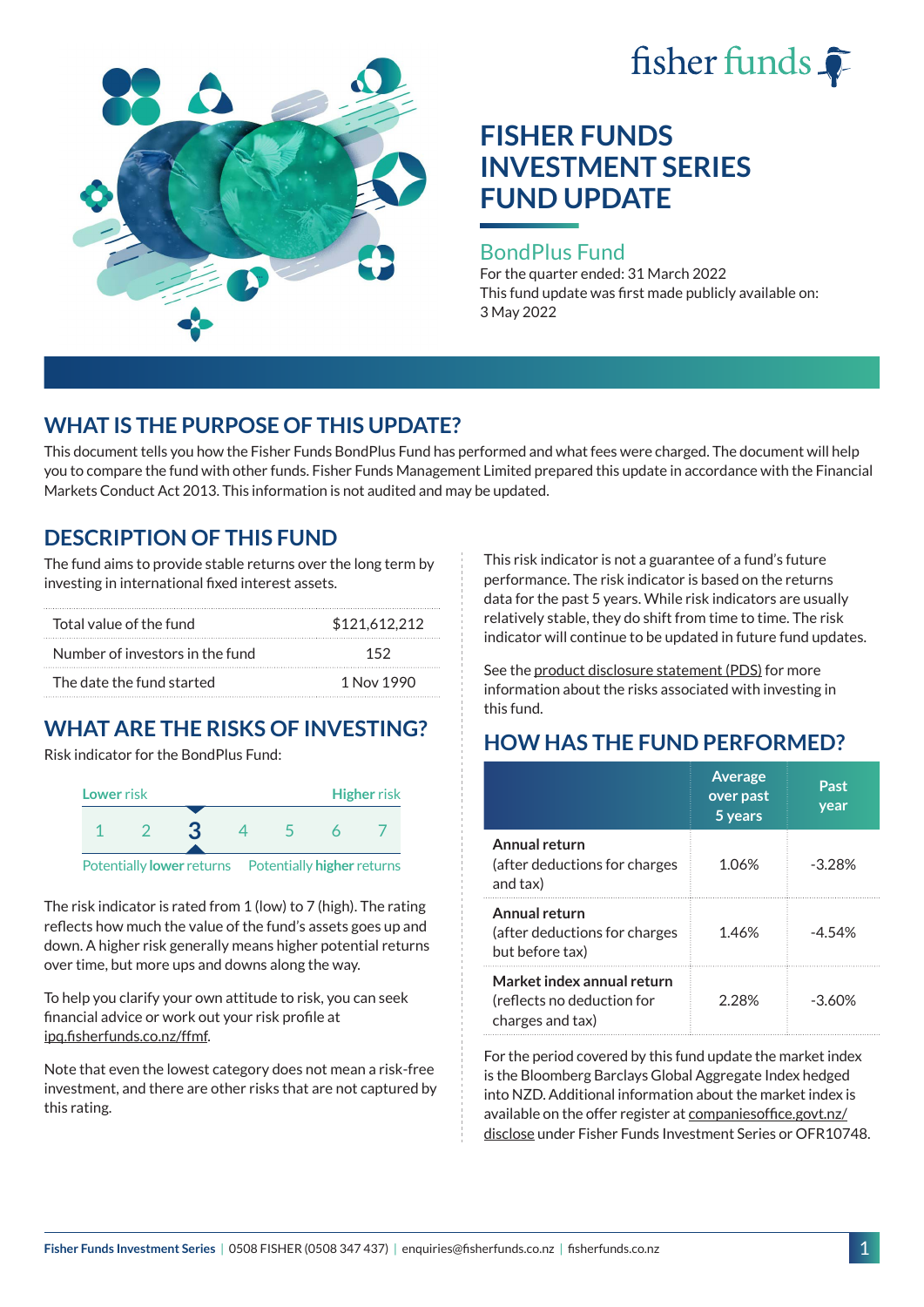

# **FISHER FUNDS INVESTMENT SERIES FUND UPDATE**

### BondPlus Fund

For the quarter ended: 31 March 2022 This fund update was first made publicly available on: 3 May 2022

## **WHAT IS THE PURPOSE OF THIS UPDATE?**

This document tells you how the Fisher Funds BondPlus Fund has performed and what fees were charged. The document will help you to compare the fund with other funds. Fisher Funds Management Limited prepared this update in accordance with the Financial Markets Conduct Act 2013. This information is not audited and may be updated.

## **DESCRIPTION OF THIS FUND**

The fund aims to provide stable returns over the long term by investing in international fixed interest assets.

| Total value of the fund         | \$121,612,212 |
|---------------------------------|---------------|
| Number of investors in the fund | 152           |
| The date the fund started       | 1 Nov 1990    |

## **WHAT ARE THE RISKS OF INVESTING?**

Risk indicator for the BondPlus Fund:



Potentially **lower** returns Potentially **higher** returns

The risk indicator is rated from 1 (low) to 7 (high). The rating reflects how much the value of the fund's assets goes up and down. A higher risk generally means higher potential returns over time, but more ups and downs along the way.

To help you clarify your own attitude to risk, you can seek financial advice or work out your risk profile at [ipq.fisherfunds.co.nz/ffmf.](https://ipq.fisherfunds.co.nz/ffmf)

Note that even the lowest category does not mean a risk-free investment, and there are other risks that are not captured by this rating.

This risk indicator is not a guarantee of a fund's future performance. The risk indicator is based on the returns data for the past 5 years. While risk indicators are usually relatively stable, they do shift from time to time. The risk indicator will continue to be updated in future fund updates.

See the [product disclosure statement \(PDS\)](https://fisherfunds.co.nz/assets/PDS/Fisher-Funds-Investment-Series-PDS.pdf) for more information about the risks associated with investing in this fund.

## **HOW HAS THE FUND PERFORMED?**

|                                                                              | <b>Average</b><br>over past<br>5 years | Past<br>year |
|------------------------------------------------------------------------------|----------------------------------------|--------------|
| Annual return<br>(after deductions for charges<br>and tax)                   | 1.06%                                  | $-3.28%$     |
| Annual return<br>(after deductions for charges<br>but before tax)            | 1.46%                                  | $-4.54%$     |
| Market index annual return<br>(reflects no deduction for<br>charges and tax) | 228%                                   | $-3.60\%$    |

For the period covered by this fund update the market index is the Bloomberg Barclays Global Aggregate Index hedged into NZD. Additional information about the market index is available on the offer register at [companiesoffice.govt.nz/](http://companiesoffice.govt.nz/disclose) [disclose](http://companiesoffice.govt.nz/disclose) under Fisher Funds Investment Series or OFR10748.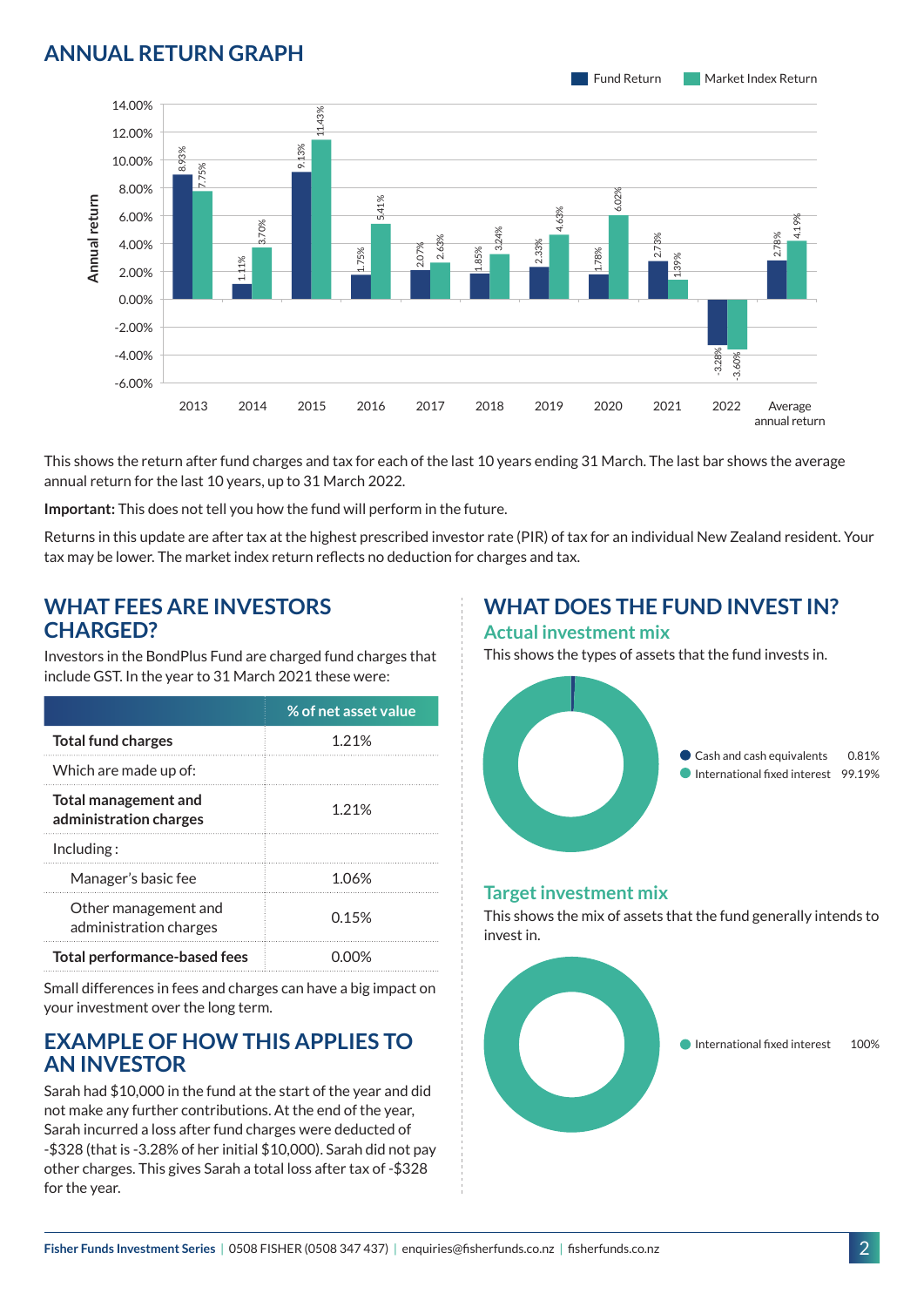## **ANNUAL RETURN GRAPH**



This shows the return after fund charges and tax for each of the last 10 years ending 31 March. The last bar shows the average annual return for the last 10 years, up to 31 March 2022.

**Important:** This does not tell you how the fund will perform in the future.

Returns in this update are after tax at the highest prescribed investor rate (PIR) of tax for an individual New Zealand resident. Your tax may be lower. The market index return reflects no deduction for charges and tax.

### **WHAT FEES ARE INVESTORS CHARGED?**

Investors in the BondPlus Fund are charged fund charges that include GST. In the year to 31 March 2021 these were:

|                                                | % of net asset value |
|------------------------------------------------|----------------------|
| <b>Total fund charges</b>                      | 1 21%                |
| Which are made up of:                          |                      |
| Total management and<br>administration charges | 1.21%                |
| Inding:                                        |                      |
| Manager's basic fee                            | 1.06%                |
| Other management and<br>administration charges | 0.15%                |
| Total performance-based fees                   |                      |

Small differences in fees and charges can have a big impact on your investment over the long term.

## **EXAMPLE OF HOW THIS APPLIES TO AN INVESTOR**

Sarah had \$10,000 in the fund at the start of the year and did not make any further contributions. At the end of the year, Sarah incurred a loss after fund charges were deducted of -\$328 (that is -3.28% of her initial \$10,000). Sarah did not pay other charges. This gives Sarah a total loss after tax of -\$328 for the year.

#### **WHAT DOES THE FUND INVEST IN? Actual investment mix**

This shows the types of assets that the fund invests in.



#### **Target investment mix**

This shows the mix of assets that the fund generally intends to invest in.